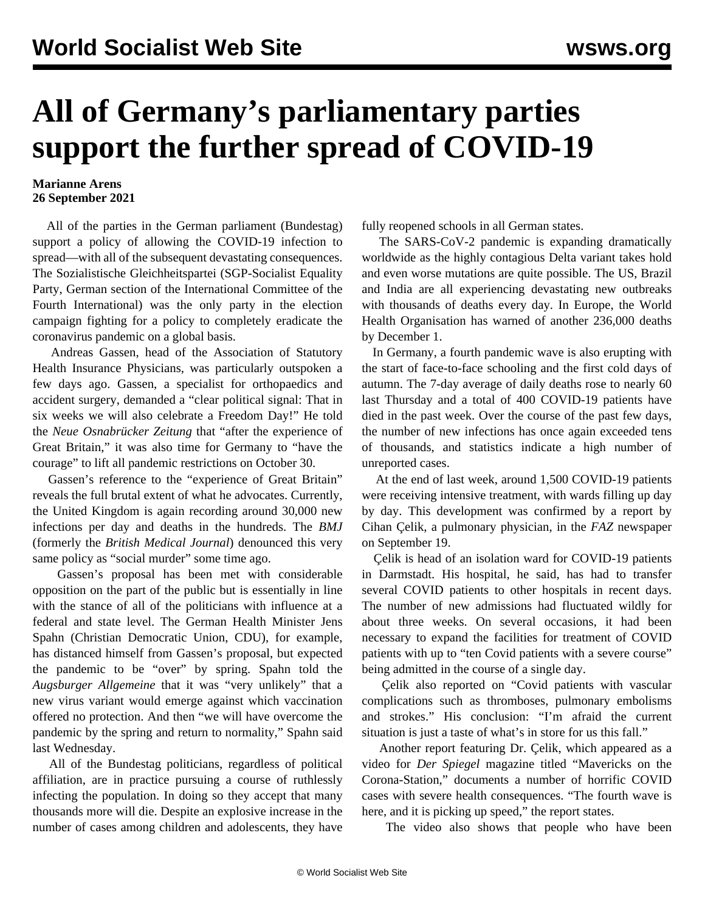## **All of Germany's parliamentary parties support the further spread of COVID-19**

## **Marianne Arens 26 September 2021**

 All of the parties in the German parliament (Bundestag) support a policy of allowing the COVID-19 infection to spread—with all of the subsequent devastating consequences. The Sozialistische Gleichheitspartei (SGP-Socialist Equality Party, German section of the International Committee of the Fourth International) was the only party in the election campaign fighting for a policy to completely eradicate the coronavirus pandemic on a global basis.

 Andreas Gassen, head of the Association of Statutory Health Insurance Physicians, was particularly outspoken a few days ago. Gassen, a specialist for orthopaedics and accident surgery, demanded a "clear political signal: That in six weeks we will also celebrate a Freedom Day!" He told the *Neue Osnabrücker Zeitung* that "after the experience of Great Britain," it was also time for Germany to "have the courage" to lift all pandemic restrictions on October 30.

 Gassen's reference to the "experience of Great Britain" reveals the full brutal extent of what he advocates. Currently, the United Kingdom is again recording around 30,000 new infections per day and deaths in the hundreds. The *BMJ* (formerly the *British Medical Journal*) denounced this very same policy as "social murder" some time ago.

 Gassen's proposal has been met with considerable opposition on the part of the public but is essentially in line with the stance of all of the politicians with influence at a federal and state level. The German Health Minister Jens Spahn (Christian Democratic Union, CDU), for example, has distanced himself from Gassen's proposal, but expected the pandemic to be "over" by spring. Spahn told the *Augsburger Allgemeine* that it was "very unlikely" that a new virus variant would emerge against which vaccination offered no protection. And then "we will have overcome the pandemic by the spring and return to normality," Spahn said last Wednesday.

 All of the Bundestag politicians, regardless of political affiliation, are in practice pursuing a course of ruthlessly infecting the population. In doing so they accept that many thousands more will die. Despite an explosive increase in the number of cases among children and adolescents, they have

fully reopened schools in all German states.

 The SARS-CoV-2 pandemic is expanding dramatically worldwide as the highly contagious Delta variant takes hold and even worse mutations are quite possible. The US, Brazil and India are all experiencing devastating new outbreaks with thousands of deaths every day. In Europe, the World Health Organisation has warned of another 236,000 deaths by December 1.

 In Germany, a fourth pandemic wave is also erupting with the start of face-to-face schooling and the first cold days of autumn. The 7-day average of daily deaths rose to nearly 60 last Thursday and a total of 400 COVID-19 patients have died in the past week. Over the course of the past few days, the number of new infections has once again exceeded tens of thousands, and statistics indicate a high number of unreported cases.

 At the end of last week, around 1,500 COVID-19 patients were receiving intensive treatment, with wards filling up day by day. This development was confirmed by a report by Cihan Çelik, a pulmonary physician, in the *FAZ* newspaper on September 19.

 Çelik is head of an isolation ward for COVID-19 patients in Darmstadt. His hospital, he said, has had to transfer several COVID patients to other hospitals in recent days. The number of new admissions had fluctuated wildly for about three weeks. On several occasions, it had been necessary to expand the facilities for treatment of COVID patients with up to "ten Covid patients with a severe course" being admitted in the course of a single day.

 Çelik also reported on "Covid patients with vascular complications such as thromboses, pulmonary embolisms and strokes." His conclusion: "I'm afraid the current situation is just a taste of what's in store for us this fall."

 Another report featuring Dr. Çelik, which appeared as a video for *Der Spiegel* magazine titled "Mavericks on the Corona-Station," documents a number of horrific COVID cases with severe health consequences. "The fourth wave is here, and it is picking up speed," the report states.

The video also shows that people who have been